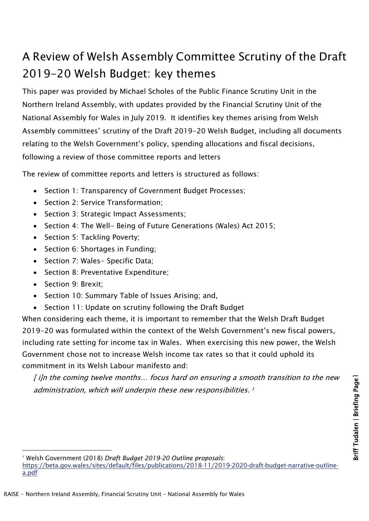# A Review of Welsh Assembly Committee Scrutiny of the Draft 2019-20 Welsh Budget: key themes

This paper was provided by Michael Scholes of the Public Finance Scrutiny Unit in the Northern Ireland Assembly, with updates provided by the Financial Scrutiny Unit of the National Assembly for Wales in July 2019. It identifies key themes arising from Welsh Assembly committees' scrutiny of the Draft 2019-20 Welsh Budget, including all documents relating to the Welsh Government's policy, spending allocations and fiscal decisions, following a review of those committee reports and letters

The review of committee reports and letters is structured as follows:

- Section 1: Transparency of Government Budget Processes;
- Section 2: Service Transformation;
- Section 3: Strategic Impact Assessments;
- Section 4: The Well- Being of Future Generations (Wales) Act 2015;
- Section 5: Tackling Poverty;
- Section 6: Shortages in Funding;
- Section 7: Wales- Specific Data;
- Section 8: Preventative Expenditure;
- Section 9: Brexit;
- Section 10: Summary Table of Issues Arising; and,
- Section 11: Update on scrutiny following the Draft Budget

When considering each theme, it is important to remember that the Welsh Draft Budget 2019-20 was formulated within the context of the Welsh Government's new fiscal powers, including rate setting for income tax in Wales. When exercising this new power, the Welsh Government chose not to increase Welsh income tax rates so that it could uphold its commitment in its Welsh Labour manifesto and:

[ i]n the coming twelve months… focus hard on ensuring a smooth transition to the new administration, which will underpin these new responsibilities.<sup>1</sup>

<sup>1</sup> Welsh Government (2018) *Draft Budget 2019-20 Outline proposals*:

[https://beta.gov.wales/sites/default/files/publications/2018-11/2019-2020-draft-budget-narrative-outline](https://beta.gov.wales/sites/default/files/publications/2018-11/2019-2020-draft-budget-narrative-outline-a.pdf)[a.pdf](https://beta.gov.wales/sites/default/files/publications/2018-11/2019-2020-draft-budget-narrative-outline-a.pdf)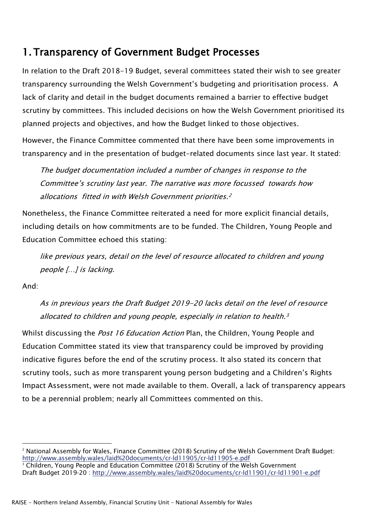### 1. Transparency of Government Budget Processes

In relation to the Draft 2018-19 Budget, several committees stated their wish to see greater transparency surrounding the Welsh Government's budgeting and prioritisation process. A lack of clarity and detail in the budget documents remained a barrier to effective budget scrutiny by committees. This included decisions on how the Welsh Government prioritised its planned projects and objectives, and how the Budget linked to those objectives.

However, the Finance Committee commented that there have been some improvements in transparency and in the presentation of budget-related documents since last year. It stated:

The budget documentation included a number of changes in response to the Committee's scrutiny last year. The narrative was more focussed towards how allocations fitted in with Welsh Government priorities.<sup>[2](#page-1-0)</sup>

Nonetheless, the Finance Committee reiterated a need for more explicit financial details, including details on how commitments are to be funded. The Children, Young People and Education Committee echoed this stating:

like previous years, detail on the level of resource allocated to children and young people […] is lacking.

And:

As in previous years the Draft Budget 2019-20 lacks detail on the level of resource allocated to children and young people, especially in relation to health. $3$ 

Whilst discussing the *Post 16 Education Action* Plan, the Children, Young People and Education Committee stated its view that transparency could be improved by providing indicative figures before the end of the scrutiny process. It also stated its concern that scrutiny tools, such as more transparent young person budgeting and a Children's Rights Impact Assessment, were not made available to them. Overall, a lack of transparency appears to be a perennial problem; nearly all Committees commented on this.

<span id="page-1-1"></span><span id="page-1-0"></span><sup>&</sup>lt;sup>2</sup> National Assembly for Wales, Finance Committee (2018) Scrutiny of the Welsh Government Draft Budget: <http://www.assembly.wales/laid%20documents/cr-ld11905/cr-ld11905-e.pdf> <sup>3</sup> Children, Young People and Education Committee (2018) Scrutiny of the Welsh Government Draft Budget 2019-20 :<http://www.assembly.wales/laid%20documents/cr-ld11901/cr-ld11901-e.pdf>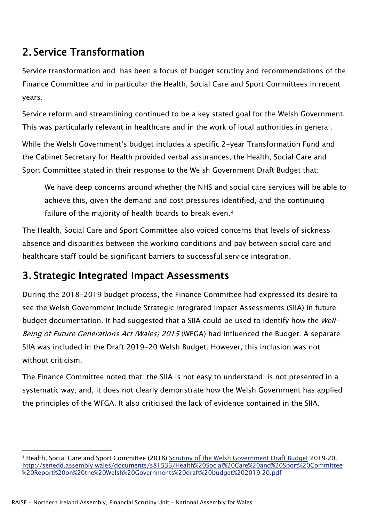## 2. Service Transformation

Service transformation and has been a focus of budget scrutiny and recommendations of the Finance Committee and in particular the Health, Social Care and Sport Committees in recent years.

Service reform and streamlining continued to be a key stated goal for the Welsh Government. This was particularly relevant in healthcare and in the work of local authorities in general.

While the Welsh Government's budget includes a specific 2-year Transformation Fund and the Cabinet Secretary for Health provided verbal assurances, the Health, Social Care and Sport Committee stated in their response to the Welsh Government Draft Budget that:

We have deep concerns around whether the NHS and social care services will be able to achieve this, given the demand and cost pressures identified, and the continuing failure of the majority of health boards to break even.<sup>[4](#page-2-0)</sup>

The Health, Social Care and Sport Committee also voiced concerns that levels of sickness absence and disparities between the working conditions and pay between social care and healthcare staff could be significant barriers to successful service integration.

### 3. Strategic Integrated Impact Assessments

During the 2018-2019 budget process, the Finance Committee had expressed its desire to see the Welsh Government include Strategic Integrated Impact Assessments (SIIA) in future budget documentation. It had suggested that a SIIA could be used to identify how the Well-Being of Future Generations Act (Wales) 2015 (WFGA) had influenced the Budget. A separate SIIA was included in the Draft 2019-20 Welsh Budget. However, this inclusion was not without criticism.

The Finance Committee noted that: the SIIA is not easy to understand; is not presented in a systematic way; and, it does not clearly demonstrate how the Welsh Government has applied the principles of the WFGA. It also criticised the lack of evidence contained in the SIIA.

<span id="page-2-0"></span><sup>&</sup>lt;sup>4</sup> Health, Social Care and Sport Committee (2018) [Scrutiny of the Welsh Government Draft Budget](http://senedd.assembly.wales/documents/s81533/Health%20Social%20Care%20and%20Sport%20Committee%20Report%20on%20the%20Welsh%20Governments%20draft%20budget%202019-20.pdf) 2019-20. [http://senedd.assembly.wales/documents/s81533/Health%20Social%20Care%20and%20Sport%20Committee](http://senedd.assembly.wales/documents/s81533/Health%20Social%20Care%20and%20Sport%20Committee%20Report%20on%20the%20Welsh%20Governments%20draft%20budget%202019-20.pdf) [%20Report%20on%20the%20Welsh%20Governments%20draft%20budget%202019-20.pdf](http://senedd.assembly.wales/documents/s81533/Health%20Social%20Care%20and%20Sport%20Committee%20Report%20on%20the%20Welsh%20Governments%20draft%20budget%202019-20.pdf)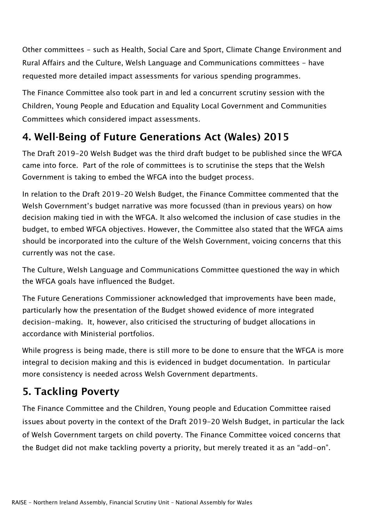Other committees - such as Health, Social Care and Sport, Climate Change Environment and Rural Affairs and the Culture, Welsh Language and Communications committees - have requested more detailed impact assessments for various spending programmes.

The Finance Committee also took part in and led a concurrent scrutiny session with the Children, Young People and Education and Equality Local Government and Communities Committees which considered impact assessments.

### 4. Well-Being of Future Generations Act (Wales) 2015

The Draft 2019-20 Welsh Budget was the third draft budget to be published since the WFGA came into force. Part of the role of committees is to scrutinise the steps that the Welsh Government is taking to embed the WFGA into the budget process.

In relation to the Draft 2019-20 Welsh Budget, the Finance Committee commented that the Welsh Government's budget narrative was more focussed (than in previous years) on how decision making tied in with the WFGA. It also welcomed the inclusion of case studies in the budget, to embed WFGA objectives. However, the Committee also stated that the WFGA aims should be incorporated into the culture of the Welsh Government, voicing concerns that this currently was not the case.

The Culture, Welsh Language and Communications Committee questioned the way in which the WFGA goals have influenced the Budget.

The Future Generations Commissioner acknowledged that improvements have been made, particularly how the presentation of the Budget showed evidence of more integrated decision-making. It, however, also criticised the structuring of budget allocations in accordance with Ministerial portfolios.

While progress is being made, there is still more to be done to ensure that the WFGA is more integral to decision making and this is evidenced in budget documentation. In particular more consistency is needed across Welsh Government departments.

## 5. Tackling Poverty

The Finance Committee and the Children, Young people and Education Committee raised issues about poverty in the context of the Draft 2019-20 Welsh Budget, in particular the lack of Welsh Government targets on child poverty. The Finance Committee voiced concerns that the Budget did not make tackling poverty a priority, but merely treated it as an "add-on".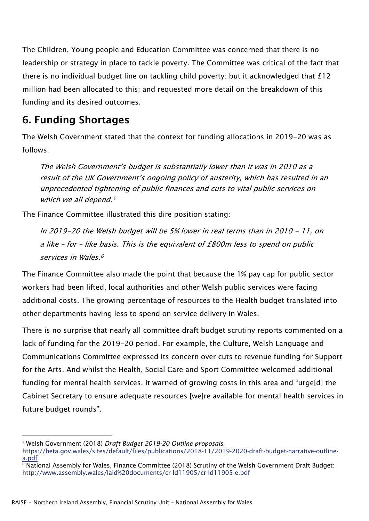The Children, Young people and Education Committee was concerned that there is no leadership or strategy in place to tackle poverty. The Committee was critical of the fact that there is no individual budget line on tackling child poverty: but it acknowledged that £12 million had been allocated to this; and requested more detail on the breakdown of this funding and its desired outcomes.

### 6. Funding Shortages

The Welsh Government stated that the context for funding allocations in 2019-20 was as follows:

The Welsh Government's budget is substantially lower than it was in 2010 as a result of the UK Government's ongoing policy of austerity, which has resulted in an unprecedented tightening of public finances and cuts to vital public services on which we all depend.<sup>5</sup>

The Finance Committee illustrated this dire position stating:

In 2019-20 the Welsh budget will be 5% lower in real terms than in 2010 - 11, on a like – for – like basis. This is the equivalent of £800m less to spend on public services in Wales.[6](#page-4-0)

The Finance Committee also made the point that because the 1% pay cap for public sector workers had been lifted, local authorities and other Welsh public services were facing additional costs. The growing percentage of resources to the Health budget translated into other departments having less to spend on service delivery in Wales.

There is no surprise that nearly all committee draft budget scrutiny reports commented on a lack of funding for the 2019-20 period. For example, the Culture, Welsh Language and Communications Committee expressed its concern over cuts to revenue funding for Support for the Arts. And whilst the Health, Social Care and Sport Committee welcomed additional funding for mental health services, it warned of growing costs in this area and "urge[d] the Cabinet Secretary to ensure adequate resources [we]re available for mental health services in future budget rounds".

<sup>5</sup> Welsh Government (2018) *Draft Budget 2019-20 Outline proposals*: [https://beta.gov.wales/sites/default/files/publications/2018-11/2019-2020-draft-budget-narrative-outline](https://beta.gov.wales/sites/default/files/publications/2018-11/2019-2020-draft-budget-narrative-outline-a.pdf)[a.pdf](https://beta.gov.wales/sites/default/files/publications/2018-11/2019-2020-draft-budget-narrative-outline-a.pdf)

<span id="page-4-0"></span><sup>6</sup> National Assembly for Wales, Finance Committee (2018) Scrutiny of the Welsh Government Draft Budget: <http://www.assembly.wales/laid%20documents/cr-ld11905/cr-ld11905-e.pdf>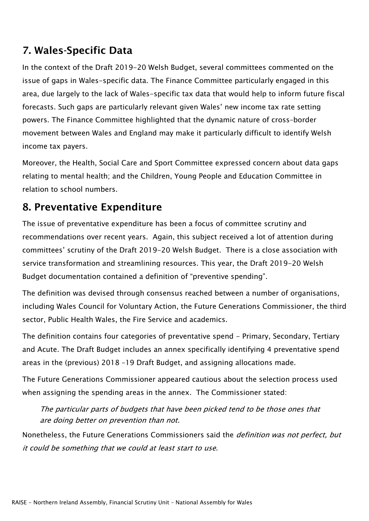### 7. Wales-Specific Data

In the context of the Draft 2019-20 Welsh Budget, several committees commented on the issue of gaps in Wales-specific data. The Finance Committee particularly engaged in this area, due largely to the lack of Wales-specific tax data that would help to inform future fiscal forecasts. Such gaps are particularly relevant given Wales' new income tax rate setting powers. The Finance Committee highlighted that the dynamic nature of cross–border movement between Wales and England may make it particularly difficult to identify Welsh income tax payers.

Moreover, the Health, Social Care and Sport Committee expressed concern about data gaps relating to mental health; and the Children, Young People and Education Committee in relation to school numbers.

### 8. Preventative Expenditure

The issue of preventative expenditure has been a focus of committee scrutiny and recommendations over recent years. Again, this subject received a lot of attention during committees' scrutiny of the Draft 2019-20 Welsh Budget. There is a close association with service transformation and streamlining resources. This year, the Draft 2019-20 Welsh Budget documentation contained a definition of "preventive spending".

The definition was devised through consensus reached between a number of organisations, including Wales Council for Voluntary Action, the Future Generations Commissioner, the third sector, Public Health Wales, the Fire Service and academics.

The definition contains four categories of preventative spend - Primary, Secondary, Tertiary and Acute. The Draft Budget includes an annex specifically identifying 4 preventative spend areas in the (previous) 2018 –19 Draft Budget, and assigning allocations made.

The Future Generations Commissioner appeared cautious about the selection process used when assigning the spending areas in the annex. The Commissioner stated:

The particular parts of budgets that have been picked tend to be those ones that are doing better on prevention than not.

Nonetheless, the Future Generations Commissioners said the *definition was not perfect, but* it could be something that we could at least start to use.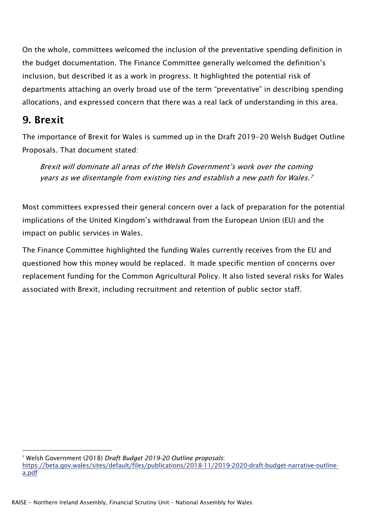On the whole, committees welcomed the inclusion of the preventative spending definition in the budget documentation. The Finance Committee generally welcomed the definition's inclusion, but described it as a work in progress. It highlighted the potential risk of departments attaching an overly broad use of the term "preventative" in describing spending allocations, and expressed concern that there was a real lack of understanding in this area.

#### 9. Brexit

The importance of Brexit for Wales is summed up in the Draft 2019-20 Welsh Budget Outline Proposals. That document stated:

Brexit will dominate all areas of the Welsh Government's work over the coming years as we disentangle from existing ties and establish a new path for Wales.[7](#page-6-0)

Most committees expressed their general concern over a lack of preparation for the potential implications of the United Kingdom's withdrawal from the European Union (EU) and the impact on public services in Wales.

The Finance Committee highlighted the funding Wales currently receives from the EU and questioned how this money would be replaced. It made specific mention of concerns over replacement funding for the Common Agricultural Policy. It also listed several risks for Wales associated with Brexit, including recruitment and retention of public sector staff.

<span id="page-6-0"></span><sup>7</sup> Welsh Government (2018) *Draft Budget 2019-20 Outline proposals*:

[https://beta.gov.wales/sites/default/files/publications/2018-11/2019-2020-draft-budget-narrative-outline](https://beta.gov.wales/sites/default/files/publications/2018-11/2019-2020-draft-budget-narrative-outline-a.pdf)[a.pdf](https://beta.gov.wales/sites/default/files/publications/2018-11/2019-2020-draft-budget-narrative-outline-a.pdf)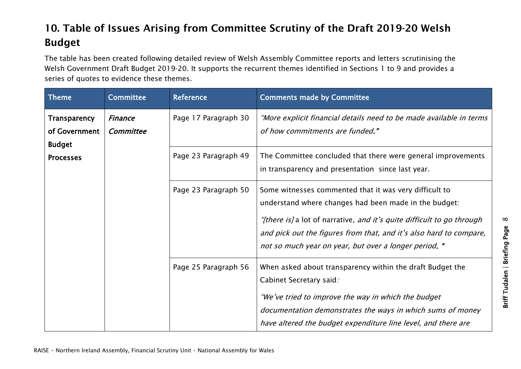# 10. Table of Issues Arising from Committee Scrutiny of the Draft 2019-20 Welsh Budget

The table has been created following detailed review of Welsh Assembly Committee reports and letters scrutinising the Welsh Government Draft Budget 2019-20. It supports the recurrent themes identified in Sections 1 to 9 and provides a series of quotes to evidence these themes.

| Theme                                          | <b>Committee</b>            | Reference            | <b>Comments made by Committee</b>                                                                                                                                                                                                                                                                                        |
|------------------------------------------------|-----------------------------|----------------------|--------------------------------------------------------------------------------------------------------------------------------------------------------------------------------------------------------------------------------------------------------------------------------------------------------------------------|
| Transparency<br>of Government<br><b>Budget</b> | <b>Finance</b><br>Committee | Page 17 Paragraph 30 | "More explicit financial details need to be made available in terms<br>of how commitments are funded."                                                                                                                                                                                                                   |
| <b>Processes</b>                               |                             | Page 23 Paragraph 49 | The Committee concluded that there were general improvements<br>in transparency and presentation since last year.                                                                                                                                                                                                        |
|                                                |                             | Page 23 Paragraph 50 | Some witnesses commented that it was very difficult to<br>understand where changes had been made in the budget:<br>"[there is] a lot of narrative, and it's quite difficult to go through<br>and pick out the figures from that, and it's also hard to compare,<br>not so much year on year, but over a longer period. " |
|                                                |                             | Page 25 Paragraph 56 | When asked about transparency within the draft Budget the<br>Cabinet Secretary said.<br>"We've tried to improve the way in which the budget<br>documentation demonstrates the ways in which sums of money<br>have altered the budget expenditure line level, and there are                                               |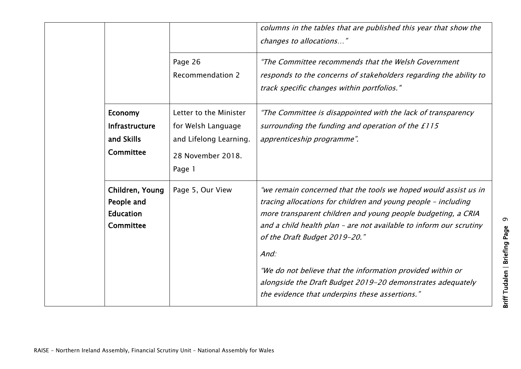|                                                                       |                                                                                                       | columns in the tables that are published this year that show the<br>changes to allocations"                                                                                                                                                                                                                                                                                                                                                                                                   |
|-----------------------------------------------------------------------|-------------------------------------------------------------------------------------------------------|-----------------------------------------------------------------------------------------------------------------------------------------------------------------------------------------------------------------------------------------------------------------------------------------------------------------------------------------------------------------------------------------------------------------------------------------------------------------------------------------------|
|                                                                       | Page 26<br><b>Recommendation 2</b>                                                                    | "The Committee recommends that the Welsh Government<br>responds to the concerns of stakeholders regarding the ability to<br>track specific changes within portfolios."                                                                                                                                                                                                                                                                                                                        |
| <b>Economy</b><br><b>Infrastructure</b><br>and Skills<br>Committee    | Letter to the Minister<br>for Welsh Language<br>and Lifelong Learning.<br>28 November 2018.<br>Page 1 | "The Committee is disappointed with the lack of transparency<br>surrounding the funding and operation of the £115<br>apprenticeship programme".                                                                                                                                                                                                                                                                                                                                               |
| Children, Young<br>People and<br><b>Education</b><br><b>Committee</b> | Page 5, Our View                                                                                      | "we remain concerned that the tools we hoped would assist us in<br>tracing allocations for children and young people - including<br>more transparent children and young people budgeting, a CRIA<br>and a child health plan - are not available to inform our scrutiny<br>of the Draft Budget 2019-20."<br>And:<br>"We do not believe that the information provided within or<br>alongside the Draft Budget 2019-20 demonstrates adequately<br>the evidence that underpins these assertions." |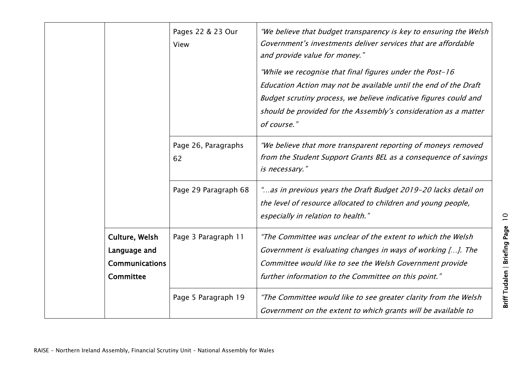|                                                                      | Pages 22 & 23 Our<br>View | "We believe that budget transparency is key to ensuring the Welsh<br>Government's investments deliver services that are affordable<br>and provide value for money."<br>"While we recognise that final figures under the Post-16<br>Education Action may not be available until the end of the Draft<br>Budget scrutiny process, we believe indicative figures could and<br>should be provided for the Assembly's consideration as a matter<br>of course." |
|----------------------------------------------------------------------|---------------------------|-----------------------------------------------------------------------------------------------------------------------------------------------------------------------------------------------------------------------------------------------------------------------------------------------------------------------------------------------------------------------------------------------------------------------------------------------------------|
|                                                                      | Page 26, Paragraphs<br>62 | "We believe that more transparent reporting of moneys removed<br>from the Student Support Grants BEL as a consequence of savings<br>is necessary."                                                                                                                                                                                                                                                                                                        |
|                                                                      | Page 29 Paragraph 68      | "as in previous years the Draft Budget 2019-20 lacks detail on<br>the level of resource allocated to children and young people,<br>especially in relation to health."                                                                                                                                                                                                                                                                                     |
| Culture, Welsh<br>Language and<br><b>Communications</b><br>Committee | Page 3 Paragraph 11       | "The Committee was unclear of the extent to which the Welsh<br>Government is evaluating changes in ways of working []. The<br>Committee would like to see the Welsh Government provide<br>further information to the Committee on this point."                                                                                                                                                                                                            |
|                                                                      | Page 5 Paragraph 19       | "The Committee would like to see greater clarity from the Welsh<br>Government on the extent to which grants will be available to                                                                                                                                                                                                                                                                                                                          |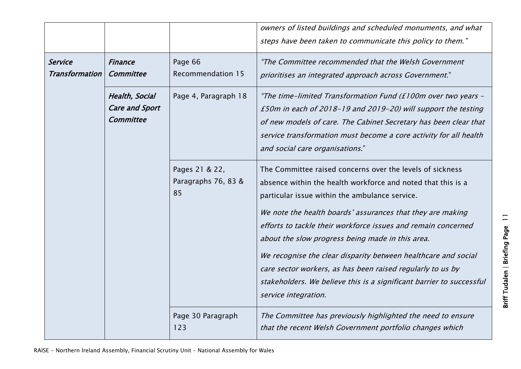|                                         |                                                      |                                             | owners of listed buildings and scheduled monuments, and what<br>steps have been taken to communicate this policy to them."                                                                                                                                                                                                                                                                                                                                                                                                                                                                     |
|-----------------------------------------|------------------------------------------------------|---------------------------------------------|------------------------------------------------------------------------------------------------------------------------------------------------------------------------------------------------------------------------------------------------------------------------------------------------------------------------------------------------------------------------------------------------------------------------------------------------------------------------------------------------------------------------------------------------------------------------------------------------|
| <b>Service</b><br><b>Transformation</b> | <b>Finance</b><br>Committee                          | Page 66<br><b>Recommendation 15</b>         | "The Committee recommended that the Welsh Government<br>prioritises an integrated approach across Government."                                                                                                                                                                                                                                                                                                                                                                                                                                                                                 |
|                                         | Health, Social<br><b>Care and Sport</b><br>Committee | Page 4, Paragraph 18                        | "The time-limited Transformation Fund (£100m over two years -<br>£50m in each of 2018-19 and 2019-20) will support the testing<br>of new models of care. The Cabinet Secretary has been clear that<br>service transformation must become a core activity for all health<br>and social care organisations."                                                                                                                                                                                                                                                                                     |
|                                         |                                                      | Pages 21 & 22,<br>Paragraphs 76, 83 &<br>85 | The Committee raised concerns over the levels of sickness<br>absence within the health workforce and noted that this is a<br>particular issue within the ambulance service.<br>We note the health boards' assurances that they are making<br>efforts to tackle their workforce issues and remain concerned<br>about the slow progress being made in this area.<br>We recognise the clear disparity between healthcare and social<br>care sector workers, as has been raised regularly to us by<br>stakeholders. We believe this is a significant barrier to successful<br>service integration. |
|                                         |                                                      | Page 30 Paragraph<br>123                    | The Committee has previously highlighted the need to ensure<br>that the recent Welsh Government portfolio changes which                                                                                                                                                                                                                                                                                                                                                                                                                                                                        |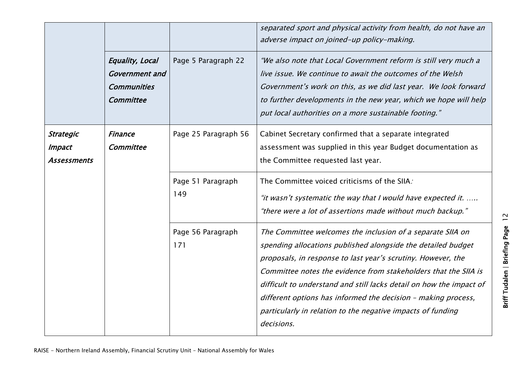|                                                  |                                                                             |                          | separated sport and physical activity from health, do not have an<br>adverse impact on joined-up policy-making.                                                                                                                                                                                                                                                                                                                                                                    |
|--------------------------------------------------|-----------------------------------------------------------------------------|--------------------------|------------------------------------------------------------------------------------------------------------------------------------------------------------------------------------------------------------------------------------------------------------------------------------------------------------------------------------------------------------------------------------------------------------------------------------------------------------------------------------|
|                                                  | Equality, Local<br><b>Government</b> and<br><b>Communities</b><br>Committee | Page 5 Paragraph 22      | "We also note that Local Government reform is still very much a<br>live issue. We continue to await the outcomes of the Welsh<br>Government's work on this, as we did last year. We look forward<br>to further developments in the new year, which we hope will help<br>put local authorities on a more sustainable footing."                                                                                                                                                      |
| <b>Strategic</b><br><b>Impact</b><br>Assessments | <b>Finance</b><br>Committee                                                 | Page 25 Paragraph 56     | Cabinet Secretary confirmed that a separate integrated<br>assessment was supplied in this year Budget documentation as<br>the Committee requested last year.                                                                                                                                                                                                                                                                                                                       |
|                                                  |                                                                             | Page 51 Paragraph<br>149 | The Committee voiced criticisms of the SIIA.<br>"it wasn't systematic the way that I would have expected it.<br>"there were a lot of assertions made without much backup."                                                                                                                                                                                                                                                                                                         |
|                                                  |                                                                             | Page 56 Paragraph<br>171 | The Committee welcomes the inclusion of a separate SIIA on<br>spending allocations published alongside the detailed budget<br>proposals, in response to last year's scrutiny. However, the<br>Committee notes the evidence from stakeholders that the SIIA is<br>difficult to understand and still lacks detail on how the impact of<br>different options has informed the decision - making process,<br>particularly in relation to the negative impacts of funding<br>decisions. |

Briff Tudalen | Briefing Page 12 Briff Tudalen | Briefing Page 12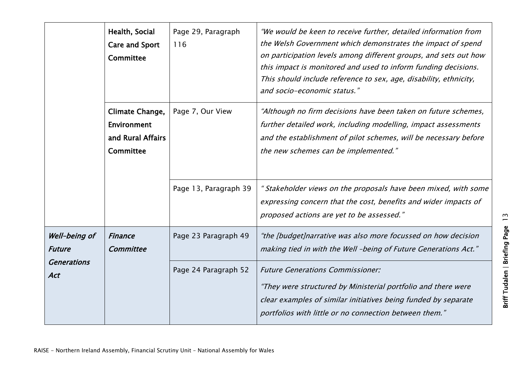|                                                                    | Health, Social<br><b>Care and Sport</b><br>Committee                    | Page 29, Paragraph<br>116 | "We would be keen to receive further, detailed information from<br>the Welsh Government which demonstrates the impact of spend<br>on participation levels among different groups, and sets out how<br>this impact is monitored and used to inform funding decisions.<br>This should include reference to sex, age, disability, ethnicity,<br>and socio-economic status." |
|--------------------------------------------------------------------|-------------------------------------------------------------------------|---------------------------|--------------------------------------------------------------------------------------------------------------------------------------------------------------------------------------------------------------------------------------------------------------------------------------------------------------------------------------------------------------------------|
|                                                                    | Climate Change,<br><b>Environment</b><br>and Rural Affairs<br>Committee | Page 7, Our View          | "Although no firm decisions have been taken on future schemes,<br>further detailed work, including modelling, impact assessments<br>and the establishment of pilot schemes, will be necessary before<br>the new schemes can be implemented."                                                                                                                             |
|                                                                    |                                                                         | Page 13, Paragraph 39     | " Stakeholder views on the proposals have been mixed, with some<br>expressing concern that the cost, benefits and wider impacts of<br>proposed actions are yet to be assessed."                                                                                                                                                                                          |
| Well-being of<br><b>Future</b><br><b>Generations</b><br><b>Act</b> | <b>Finance</b><br>Committee                                             | Page 23 Paragraph 49      | "the [budget]narrative was also more focussed on how decision<br>making tied in with the Well -being of Future Generations Act."                                                                                                                                                                                                                                         |
|                                                                    |                                                                         | Page 24 Paragraph 52      | <b>Future Generations Commissioner:</b><br>"They were structured by Ministerial portfolio and there were<br>clear examples of similar initiatives being funded by separate<br>portfolios with little or no connection between them."                                                                                                                                     |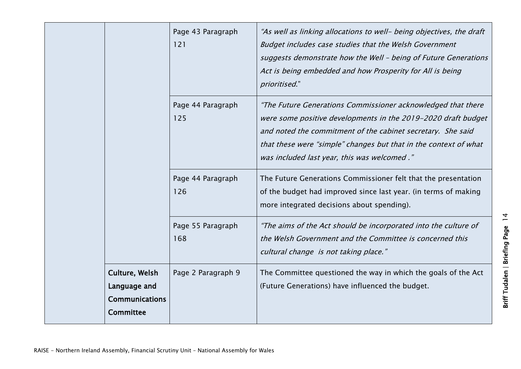|                                                                             | Page 43 Paragraph<br>121 | "As well as linking allocations to well- being objectives, the draft<br>Budget includes case studies that the Welsh Government<br>suggests demonstrate how the Well - being of Future Generations<br>Act is being embedded and how Prosperity for All is being<br>prioritised."                                 |
|-----------------------------------------------------------------------------|--------------------------|-----------------------------------------------------------------------------------------------------------------------------------------------------------------------------------------------------------------------------------------------------------------------------------------------------------------|
|                                                                             | Page 44 Paragraph<br>125 | "The Future Generations Commissioner acknowledged that there<br>were some positive developments in the 2019-2020 draft budget<br>and noted the commitment of the cabinet secretary. She said<br>that these were "simple" changes but that in the context of what<br>was included last year, this was welcomed." |
|                                                                             | Page 44 Paragraph<br>126 | The Future Generations Commissioner felt that the presentation<br>of the budget had improved since last year. (in terms of making<br>more integrated decisions about spending).                                                                                                                                 |
|                                                                             | Page 55 Paragraph<br>168 | "The aims of the Act should be incorporated into the culture of<br>the Welsh Government and the Committee is concerned this<br>cultural change is not taking place."                                                                                                                                            |
| Culture, Welsh<br>Language and<br><b>Communications</b><br><b>Committee</b> | Page 2 Paragraph 9       | The Committee questioned the way in which the goals of the Act<br>(Future Generations) have influenced the budget.                                                                                                                                                                                              |

Briff Tudalen | Briefing Page 14 Briff Tudalen | Briefing Page 14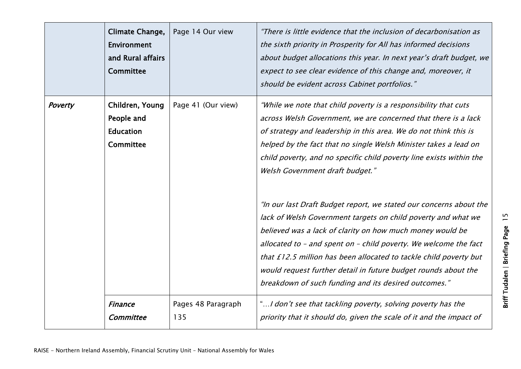|         | Climate Change,<br><b>Environment</b><br>and Rural affairs<br>Committee | Page 14 Our view          | "There is little evidence that the inclusion of decarbonisation as<br>the sixth priority in Prosperity for All has informed decisions<br>about budget allocations this year. In next year's draft budget, we<br>expect to see clear evidence of this change and, moreover, it<br>should be evident across Cabinet portfolios."                                                                                                                                                                                                                                                                                                                                                                                                                                                                                                                             |
|---------|-------------------------------------------------------------------------|---------------------------|------------------------------------------------------------------------------------------------------------------------------------------------------------------------------------------------------------------------------------------------------------------------------------------------------------------------------------------------------------------------------------------------------------------------------------------------------------------------------------------------------------------------------------------------------------------------------------------------------------------------------------------------------------------------------------------------------------------------------------------------------------------------------------------------------------------------------------------------------------|
| Poverty | Children, Young<br>People and<br><b>Education</b><br><b>Committee</b>   | Page 41 (Our view)        | "While we note that child poverty is a responsibility that cuts<br>across Welsh Government, we are concerned that there is a lack<br>of strategy and leadership in this area. We do not think this is<br>helped by the fact that no single Welsh Minister takes a lead on<br>child poverty, and no specific child poverty line exists within the<br>Welsh Government draft budget."<br>"In our last Draft Budget report, we stated our concerns about the<br>lack of Welsh Government targets on child poverty and what we<br>believed was a lack of clarity on how much money would be<br>allocated to - and spent on - child poverty. We welcome the fact<br>that £12.5 million has been allocated to tackle child poverty but<br>would request further detail in future budget rounds about the<br>breakdown of such funding and its desired outcomes." |
|         | <b>Finance</b><br>Committee                                             | Pages 48 Paragraph<br>135 | "I don't see that tackling poverty, solving poverty has the<br>priority that it should do, given the scale of it and the impact of                                                                                                                                                                                                                                                                                                                                                                                                                                                                                                                                                                                                                                                                                                                         |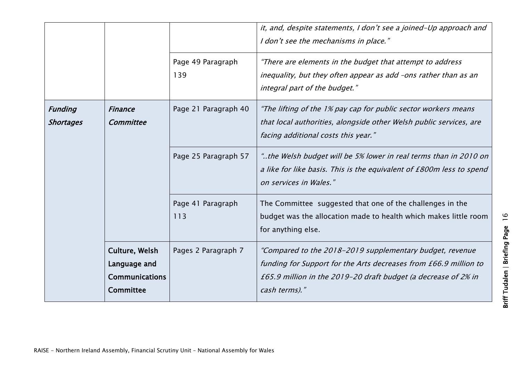|                             |                                                                      | Page 49 Paragraph        | it, and, despite statements, I don't see a joined-Up approach and<br>I don't see the mechanisms in place."<br>"There are elements in the budget that attempt to address                                         |
|-----------------------------|----------------------------------------------------------------------|--------------------------|-----------------------------------------------------------------------------------------------------------------------------------------------------------------------------------------------------------------|
|                             |                                                                      | 139                      | inequality, but they often appear as add -ons rather than as an<br>integral part of the budget."                                                                                                                |
| <b>Funding</b><br>Shortages | <b>Finance</b><br>Committee                                          | Page 21 Paragraph 40     | "The lifting of the 1% pay cap for public sector workers means<br>that local authorities, alongside other Welsh public services, are<br>facing additional costs this year."                                     |
|                             |                                                                      | Page 25 Paragraph 57     | the Welsh budget will be 5% lower in real terms than in 2010 on"<br>a like for like basis. This is the equivalent of £800m less to spend<br>on services in Wales."                                              |
|                             |                                                                      | Page 41 Paragraph<br>113 | The Committee suggested that one of the challenges in the<br>budget was the allocation made to health which makes little room<br>for anything else.                                                             |
|                             | Culture, Welsh<br>Language and<br><b>Communications</b><br>Committee | Pages 2 Paragraph 7      | "Compared to the 2018-2019 supplementary budget, revenue<br>funding for Support for the Arts decreases from £66.9 million to<br>£65.9 million in the 2019-20 draft budget (a decrease of 2% in<br>cash terms)." |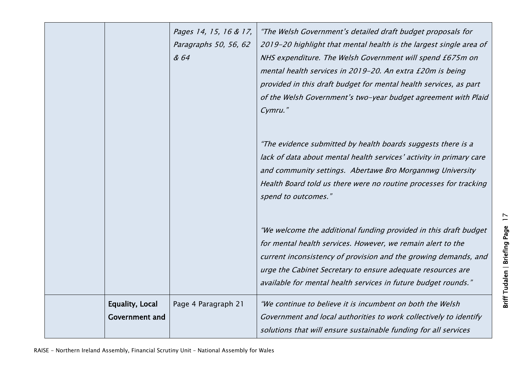|                                                 | Pages 14, 15, 16 & 17,<br>Paragraphs 50, 56, 62<br>& 64 | "The Welsh Government's detailed draft budget proposals for<br>2019-20 highlight that mental health is the largest single area of<br>NHS expenditure. The Welsh Government will spend £675m on<br>mental health services in 2019-20. An extra £20m is being<br>provided in this draft budget for mental health services, as part |
|-------------------------------------------------|---------------------------------------------------------|----------------------------------------------------------------------------------------------------------------------------------------------------------------------------------------------------------------------------------------------------------------------------------------------------------------------------------|
|                                                 |                                                         | of the Welsh Government's two-year budget agreement with Plaid<br>Cymru."                                                                                                                                                                                                                                                        |
|                                                 |                                                         | "The evidence submitted by health boards suggests there is a<br>lack of data about mental health services' activity in primary care<br>and community settings. Abertawe Bro Morgannwg University                                                                                                                                 |
|                                                 |                                                         | Health Board told us there were no routine processes for tracking<br>spend to outcomes."                                                                                                                                                                                                                                         |
|                                                 |                                                         | "We welcome the additional funding provided in this draft budget<br>for mental health services. However, we remain alert to the                                                                                                                                                                                                  |
|                                                 |                                                         | current inconsistency of provision and the growing demands, and<br>urge the Cabinet Secretary to ensure adequate resources are<br>available for mental health services in future budget rounds."                                                                                                                                 |
| <b>Equality, Local</b><br><b>Government and</b> | Page 4 Paragraph 21                                     | "We continue to believe it is incumbent on both the Welsh<br>Government and local authorities to work collectively to identify<br>solutions that will ensure sustainable funding for all services                                                                                                                                |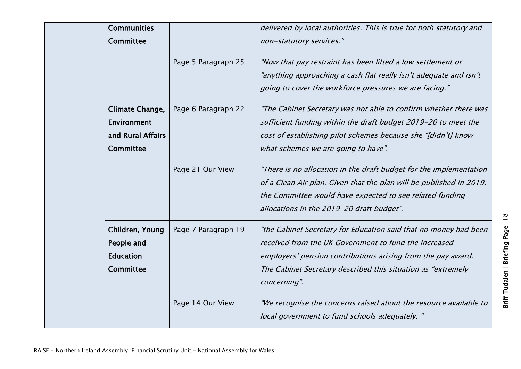| <b>Communities</b><br><b>Committee</b>                                |                     | delivered by local authorities. This is true for both statutory and<br>non-statutory services."                                                                                                                                                                            |
|-----------------------------------------------------------------------|---------------------|----------------------------------------------------------------------------------------------------------------------------------------------------------------------------------------------------------------------------------------------------------------------------|
|                                                                       | Page 5 Paragraph 25 | "Now that pay restraint has been lifted a low settlement or<br>"anything approaching a cash flat really isn't adequate and isn't<br>going to cover the workforce pressures we are facing."                                                                                 |
| Climate Change,<br>Environment<br>and Rural Affairs<br>Committee      | Page 6 Paragraph 22 | "The Cabinet Secretary was not able to confirm whether there was<br>sufficient funding within the draft budget 2019-20 to meet the<br>cost of establishing pilot schemes because she "[didn't] know<br>what schemes we are going to have".                                 |
|                                                                       | Page 21 Our View    | "There is no allocation in the draft budget for the implementation<br>of a Clean Air plan. Given that the plan will be published in 2019,<br>the Committee would have expected to see related funding<br>allocations in the 2019-20 draft budget".                         |
| Children, Young<br>People and<br><b>Education</b><br><b>Committee</b> | Page 7 Paragraph 19 | "the Cabinet Secretary for Education said that no money had been<br>received from the UK Government to fund the increased<br>employers' pension contributions arising from the pay award.<br>The Cabinet Secretary described this situation as "extremely"<br>concerning". |
|                                                                       | Page 14 Our View    | "We recognise the concerns raised about the resource available to<br>local government to fund schools adequately. "                                                                                                                                                        |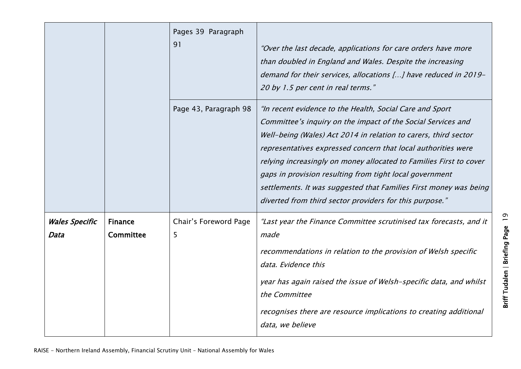|                               |                             | Pages 39 Paragraph<br>91   | "Over the last decade, applications for care orders have more<br>than doubled in England and Wales. Despite the increasing<br>demand for their services, allocations [] have reduced in 2019-<br>20 by 1.5 per cent in real terms."                                                                                                                                                                                                                                                                                           |
|-------------------------------|-----------------------------|----------------------------|-------------------------------------------------------------------------------------------------------------------------------------------------------------------------------------------------------------------------------------------------------------------------------------------------------------------------------------------------------------------------------------------------------------------------------------------------------------------------------------------------------------------------------|
|                               |                             | Page 43, Paragraph 98      | "In recent evidence to the Health, Social Care and Sport<br>Committee's inquiry on the impact of the Social Services and<br>Well-being (Wales) Act 2014 in relation to carers, third sector<br>representatives expressed concern that local authorities were<br>relying increasingly on money allocated to Families First to cover<br>gaps in provision resulting from tight local government<br>settlements. It was suggested that Families First money was being<br>diverted from third sector providers for this purpose." |
| <b>Wales Specific</b><br>Data | <b>Finance</b><br>Committee | Chair's Foreword Page<br>5 | "Last year the Finance Committee scrutinised tax forecasts, and it<br>made<br>recommendations in relation to the provision of Welsh specific<br>data. Evidence this<br>year has again raised the issue of Welsh-specific data, and whilst<br>the Committee<br>recognises there are resource implications to creating additional<br>data, we believe                                                                                                                                                                           |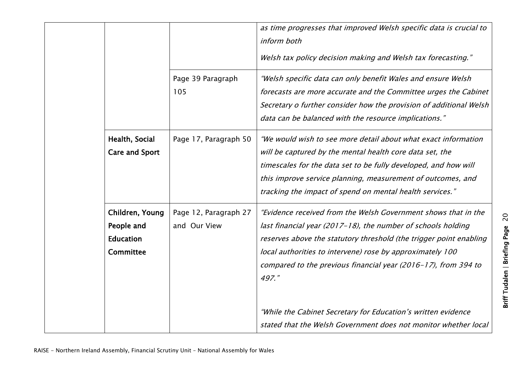|                                                                       |                                       | as time progresses that improved Welsh specific data is crucial to<br>inform both<br>Welsh tax policy decision making and Welsh tax forecasting."                                                                                                                                                                                            |
|-----------------------------------------------------------------------|---------------------------------------|----------------------------------------------------------------------------------------------------------------------------------------------------------------------------------------------------------------------------------------------------------------------------------------------------------------------------------------------|
|                                                                       | Page 39 Paragraph<br>105              | "Welsh specific data can only benefit Wales and ensure Welsh<br>forecasts are more accurate and the Committee urges the Cabinet<br>Secretary o further consider how the provision of additional Welsh<br>data can be balanced with the resource implications."                                                                               |
| Health, Social<br><b>Care and Sport</b>                               | Page 17, Paragraph 50                 | "We would wish to see more detail about what exact information<br>will be captured by the mental health core data set, the<br>timescales for the data set to be fully developed, and how will<br>this improve service planning, measurement of outcomes, and<br>tracking the impact of spend on mental health services."                     |
| Children, Young<br>People and<br><b>Education</b><br><b>Committee</b> | Page 12, Paragraph 27<br>and Our View | "Evidence received from the Welsh Government shows that in the<br>last financial year (2017-18), the number of schools holding<br>reserves above the statutory threshold (the trigger point enabling<br>local authorities to intervene) rose by approximately 100<br>compared to the previous financial year (2016-17), from 394 to<br>497." |
|                                                                       |                                       | "While the Cabinet Secretary for Education's written evidence<br>stated that the Welsh Government does not monitor whether local                                                                                                                                                                                                             |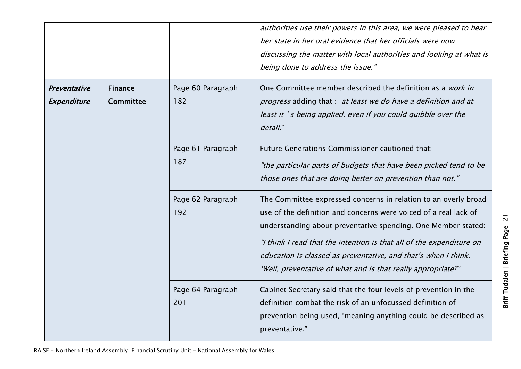|                                               |           |                          | authorities use their powers in this area, we were pleased to hear<br>her state in her oral evidence that her officials were now<br>discussing the matter with local authorities and looking at what is<br>being done to address the issue."                                                                                                                                                                   |
|-----------------------------------------------|-----------|--------------------------|----------------------------------------------------------------------------------------------------------------------------------------------------------------------------------------------------------------------------------------------------------------------------------------------------------------------------------------------------------------------------------------------------------------|
| Preventative<br><b>Finance</b><br>Expenditure | Committee | Page 60 Paragraph<br>182 | One Committee member described the definition as a work in<br>progress adding that : at least we do have a definition and at<br>least it 's being applied, even if you could quibble over the<br>detail."                                                                                                                                                                                                      |
|                                               |           | Page 61 Paragraph<br>187 | Future Generations Commissioner cautioned that:<br>"the particular parts of budgets that have been picked tend to be<br>those ones that are doing better on prevention than not."                                                                                                                                                                                                                              |
|                                               |           | Page 62 Paragraph<br>192 | The Committee expressed concerns in relation to an overly broad<br>use of the definition and concerns were voiced of a real lack of<br>understanding about preventative spending. One Member stated:<br>"I think I read that the intention is that all of the expenditure on<br>education is classed as preventative, and that's when I think,<br>'Well, preventative of what and is that really appropriate?" |
|                                               |           | Page 64 Paragraph<br>201 | Cabinet Secretary said that the four levels of prevention in the<br>definition combat the risk of an unfocussed definition of<br>prevention being used, "meaning anything could be described as<br>preventative."                                                                                                                                                                                              |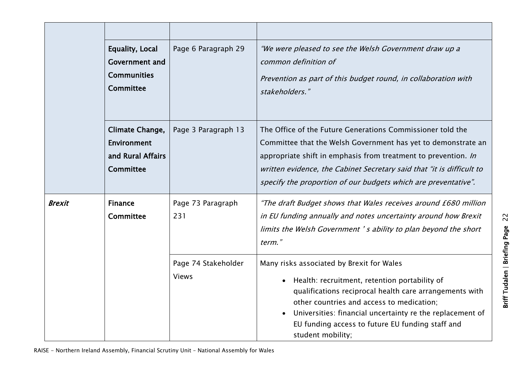|               | Equality, Local<br><b>Government and</b><br><b>Communities</b><br>Committee | Page 6 Paragraph 29                 | "We were pleased to see the Welsh Government draw up a<br>common definition of<br>Prevention as part of this budget round, in collaboration with<br>stakeholders."                                                                                                                                                                                    |
|---------------|-----------------------------------------------------------------------------|-------------------------------------|-------------------------------------------------------------------------------------------------------------------------------------------------------------------------------------------------------------------------------------------------------------------------------------------------------------------------------------------------------|
|               | Climate Change,<br>Environment<br>and Rural Affairs<br>Committee            | Page 3 Paragraph 13                 | The Office of the Future Generations Commissioner told the<br>Committee that the Welsh Government has yet to demonstrate an<br>appropriate shift in emphasis from treatment to prevention. In<br>written evidence, the Cabinet Secretary said that "it is difficult to<br>specify the proportion of our budgets which are preventative".              |
| <b>Brexit</b> | <b>Finance</b><br><b>Committee</b>                                          | Page 73 Paragraph<br>231            | "The draft Budget shows that Wales receives around £680 million<br>in EU funding annually and notes uncertainty around how Brexit<br>limits the Welsh Government's ability to plan beyond the short<br>term."                                                                                                                                         |
|               |                                                                             | Page 74 Stakeholder<br><b>Views</b> | Many risks associated by Brexit for Wales<br>Health: recruitment, retention portability of<br>$\bullet$<br>qualifications reciprocal health care arrangements with<br>other countries and access to medication;<br>Universities: financial uncertainty re the replacement of<br>EU funding access to future EU funding staff and<br>student mobility; |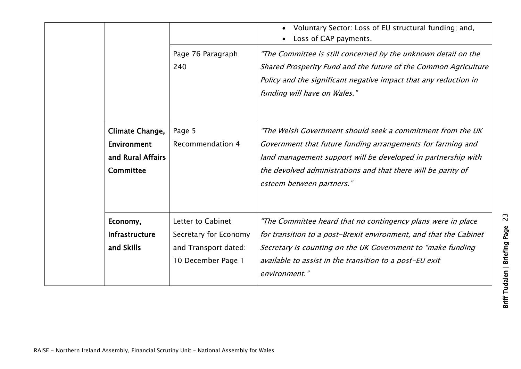|                                                                         |                                                                                          | Voluntary Sector: Loss of EU structural funding; and,<br>Loss of CAP payments.                                                                                                                                                                                                           |
|-------------------------------------------------------------------------|------------------------------------------------------------------------------------------|------------------------------------------------------------------------------------------------------------------------------------------------------------------------------------------------------------------------------------------------------------------------------------------|
|                                                                         | Page 76 Paragraph<br>240                                                                 | "The Committee is still concerned by the unknown detail on the<br>Shared Prosperity Fund and the future of the Common Agriculture<br>Policy and the significant negative impact that any reduction in<br>funding will have on Wales."                                                    |
| Climate Change,<br><b>Environment</b><br>and Rural Affairs<br>Committee | Page 5<br><b>Recommendation 4</b>                                                        | "The Welsh Government should seek a commitment from the UK<br>Government that future funding arrangements for farming and<br>land management support will be developed in partnership with<br>the devolved administrations and that there will be parity of<br>esteem between partners." |
| Economy,<br><b>Infrastructure</b><br>and Skills                         | Letter to Cabinet<br>Secretary for Economy<br>and Transport dated:<br>10 December Page 1 | "The Committee heard that no contingency plans were in place<br>for transition to a post-Brexit environment, and that the Cabinet<br>Secretary is counting on the UK Government to "make funding<br>available to assist in the transition to a post-EU exit<br>environment."             |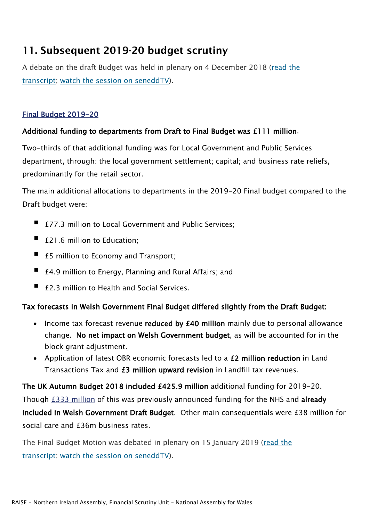#### 11. Subsequent 2019-20 budget scrutiny

A debate on the draft Budget was held in plenary on 4 December 2018 [\(read the](http://record.assembly.wales/Meeting/5369)  [transcript;](http://record.assembly.wales/Meeting/5369) [watch the session on seneddTV\)](http://www.senedd.assembly.wales/SiteSpecific/SeneddTV.aspx?mg_m_id=5369).

#### [Final Budget 2019-20](https://gov.wales/final-budget-2019-2020)

#### Additional funding to departments from Draft to Final Budget was £111 million.

Two-thirds of that additional funding was for Local Government and Public Services department, through: the local government settlement; capital; and business rate reliefs, predominantly for the retail sector.

The main additional allocations to departments in the 2019-20 Final budget compared to the Draft budget were:

- £77.3 million to Local Government and Public Services:
- £21.6 million to Education;
- £5 million to Economy and Transport;
- $£4.9$  million to Energy, Planning and Rural Affairs; and
- £2.3 million to Health and Social Services.

#### Tax forecasts in Welsh Government Final Budget differed slightly from the Draft Budget:

- Income tax forecast revenue reduced by £40 million mainly due to personal allowance change. No net impact on Welsh Government budget, as will be accounted for in the block grant adjustment.
- Application of latest OBR economic forecasts led to a £2 million reduction in Land Transactions Tax and £3 million upward revision in Landfill tax revenues.

The UK Autumn Budget 2018 included £425.9 million additional funding for 2019-20. Though [£333](http://www.assembly.wales/SiteCollectionImages/Assembly%20Business%20images/Research%20Service/Copy%20of%20Barnett%20-%20En.xlsx) million of this was previously announced funding for the NHS and already included in Welsh Government Draft Budget. Other main consequentials were £38 million for social care and £36m business rates.

The Final Budget Motion was debated in plenary on 15 January 2019 [\(read the](http://record.assembly.wales/Meeting/5417)  [transcript;](http://record.assembly.wales/Meeting/5417) [watch the session on seneddTV\)](http://senedd.assembly.wales/SiteSpecific/SeneddTV.aspx?mg_m_id=5417).